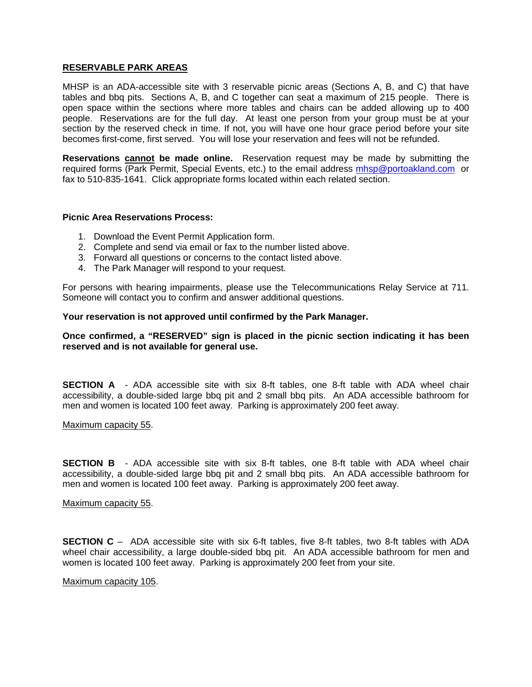#### **RESERVABLE PARK AREAS**

MHSP is an ADA-accessible site with 3 reservable picnic areas (Sections A, B, and C) that have tables and bbq pits. Sections A, B, and C together can seat a maximum of 215 people. There is open space within the sections where more tables and chairs can be added allowing up to 400 people. Reservations are for the full day. At least one person from your group must be at your section by the reserved check in time. If not, you will have one hour grace period before your site becomes first-come, first served. You will lose your reservation and fees will not be refunded.

**Reservations cannot be made online.** Reservation request may be made by submitting the required forms (Park Permit, Special Events, etc.) to the email address [mhsp@portoakland.com](mailto:mhsp@portoakland.com) or fax to 510-835-1641. Click appropriate forms located within each related section.

### **Picnic Area Reservations Process:**

- 1. Download the Event Permit Application form.
- 2. Complete and send via email or fax to the number listed above.
- 3. Forward all questions or concerns to the contact listed above.
- 4. The Park Manager will respond to your request.

For persons with hearing impairments, please use the Telecommunications Relay Service at 711. Someone will contact you to confirm and answer additional questions.

#### **Your reservation is not approved until confirmed by the Park Manager.**

## **Once confirmed, a "RESERVED" sign is placed in the picnic section indicating it has been reserved and is not available for general use.**

**SECTION A** - ADA accessible site with six 8-ft tables, one 8-ft table with ADA wheel chair accessibility, a double-sided large bbq pit and 2 small bbq pits. An ADA accessible bathroom for men and women is located 100 feet away. Parking is approximately 200 feet away.

Maximum capacity 55.

**SECTION B** - ADA accessible site with six 8-ft tables, one 8-ft table with ADA wheel chair accessibility, a double-sided large bbq pit and 2 small bbq pits. An ADA accessible bathroom for men and women is located 100 feet away. Parking is approximately 200 feet away.

#### Maximum capacity 55.

**SECTION C** – ADA accessible site with six 6-ft tables, five 8-ft tables, two 8-ft tables with ADA wheel chair accessibility, a large double-sided bbq pit. An ADA accessible bathroom for men and women is located 100 feet away. Parking is approximately 200 feet from your site.

#### Maximum capacity 105.